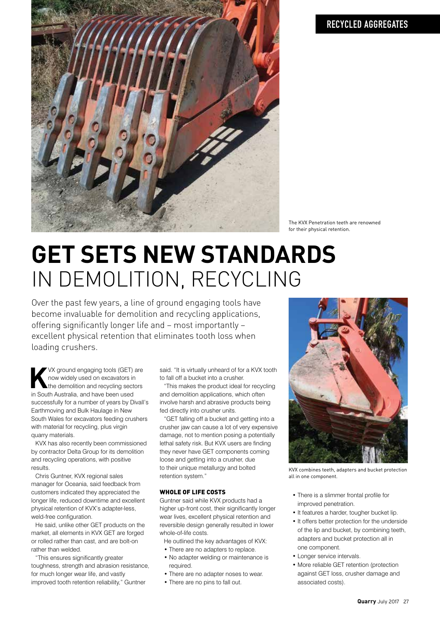

The KVX Penetration teeth are renowned for their physical retention.

# **GET SETS NEW STANDARDS**  IN DEMOLITION, RECYCLING

Over the past few years, a line of ground engaging tools have become invaluable for demolition and recycling applications, offering significantly longer life and – most importantly – excellent physical retention that eliminates tooth loss when loading crushers.

**K** VX ground engaging tools (GET)<br>now widely used on excavators in<br>the demolition and recycling sect<br>in South Australia, and have been used VX ground engaging tools (GET) are now widely used on excavators in the demolition and recycling sectors successfully for a number of years by Divall's Earthmoving and Bulk Haulage in New South Wales for excavators feeding crushers with material for recycling, plus virgin quarry materials.

KVX has also recently been commissioned by contractor Delta Group for its demolition and recycling operations, with positive results.

Chris Guntner, KVX regional sales manager for Oceania, said feedback from customers indicated they appreciated the longer life, reduced downtime and excellent physical retention of KVX's adapter-less, weld-free configuration.

He said, unlike other GET products on the market, all elements in KVX GET are forged or rolled rather than cast, and are bolt-on rather than welded.

"This ensures significantly greater toughness, strength and abrasion resistance, for much longer wear life, and vastly improved tooth retention reliability," Guntner

said. "It is virtually unheard of for a KVX tooth to fall off a bucket into a crusher.

"This makes the product ideal for recycling and demolition applications, which often involve harsh and abrasive products being fed directly into crusher units.

"GET falling off a bucket and getting into a crusher jaw can cause a lot of very expensive damage, not to mention posing a potentially lethal safety risk. But KVX users are finding they never have GET components coming loose and getting into a crusher, due to their unique metallurgy and bolted retention system."

### WHOLE OF LIFE COSTS

Guntner said while KVX products had a higher up-front cost, their significantly longer wear lives, excellent physical retention and reversible design generally resulted in lower whole-of-life costs.

He outlined the key advantages of KVX:

- There are no adapters to replace.
- No adapter welding or maintenance is required.
- There are no adapter noses to wear.
- There are no pins to fall out.



KVX combines teeth, adapters and bucket protection all in one component.

- There is a slimmer frontal profile for improved penetration.
- It features a harder, tougher bucket lip.
- It offers better protection for the underside of the lip and bucket, by combining teeth, adapters and bucket protection all in one component.
- Longer service intervals.
- More reliable GET retention (protection against GET loss, crusher damage and associated costs).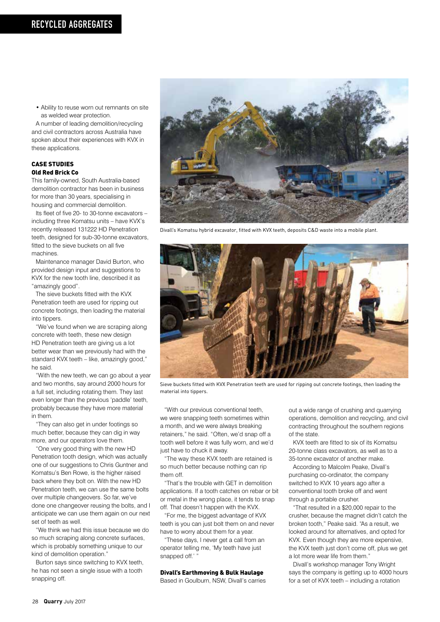• Ability to reuse worn out remnants on site as welded wear protection.

A number of leading demolition/recycling and civil contractors across Australia have spoken about their experiences with KVX in these applications.

#### CASE STUDIES Old Red Brick Co

This family-owned, South Australia-based demolition contractor has been in business for more than 30 years, specialising in housing and commercial demolition.

Its fleet of five 20- to 30-tonne excavators – including three Komatsu units – have KVX's recently released 131222 HD Penetration teeth, designed for sub-30-tonne excavators, fitted to the sieve buckets on all five machines.

Maintenance manager David Burton, who provided design input and suggestions to KVX for the new tooth line, described it as "amazingly good".

The sieve buckets fitted with the KVX Penetration teeth are used for ripping out concrete footings, then loading the material into tippers.

"We've found when we are scraping along concrete with teeth, these new design HD Penetration teeth are giving us a lot better wear than we previously had with the standard KVX teeth – like, amazingly good," he said.

"With the new teeth, we can go about a year and two months, say around 2000 hours for a full set, including rotating them. They last even longer than the previous 'paddle' teeth, probably because they have more material in them.

"They can also get in under footings so much better, because they can dig in way more, and our operators love them.

"One very good thing with the new HD Penetration tooth design, which was actually one of our suggestions to Chris Guntner and Komatsu's Ben Rowe, is the higher raised back where they bolt on. With the new HD Penetration teeth, we can use the same bolts over multiple changeovers. So far, we've done one changeover reusing the bolts, and I anticipate we can use them again on our next set of teeth as well.

"We think we had this issue because we do so much scraping along concrete surfaces, which is probably something unique to our kind of demolition operation."

Burton says since switching to KVX teeth, he has not seen a single issue with a tooth snapping off.



Divall's Komatsu hybrid excavator, fitted with KVX teeth, deposits C&D waste into a mobile plant.



Sieve buckets fitted with KVX Penetration teeth are used for ripping out concrete footings, then loading the material into tippers.

"With our previous conventional teeth, we were snapping teeth sometimes within a month, and we were always breaking retainers," he said. "Often, we'd snap off a tooth well before it was fully worn, and we'd just have to chuck it away.

"The way these KVX teeth are retained is so much better because nothing can rip them off.

"That's the trouble with GET in demolition applications. If a tooth catches on rebar or bit or metal in the wrong place, it tends to snap off. That doesn't happen with the KVX.

"For me, the biggest advantage of KVX teeth is you can just bolt them on and never have to worry about them for a year.

"These days, I never get a call from an operator telling me, 'My teeth have just snapped off.'

#### Divall's Earthmoving & Bulk Haulage

Based in Goulburn, NSW, Divall's carries

out a wide range of crushing and quarrying operations, demolition and recycling, and civil contracting throughout the southern regions of the state.

KVX teeth are fitted to six of its Komatsu 20-tonne class excavators, as well as to a 35-tonne excavator of another make.

According to Malcolm Peake, Divall's purchasing co-ordinator, the company switched to KVX 10 years ago after a conventional tooth broke off and went through a portable crusher.

"That resulted in a \$20,000 repair to the crusher, because the magnet didn't catch the broken tooth," Peake said. "As a result, we looked around for alternatives, and opted for KVX. Even though they are more expensive, the KVX teeth just don't come off, plus we get a lot more wear life from them."

Divall's workshop manager Tony Wright says the company is getting up to 4000 hours for a set of KVX teeth – including a rotation